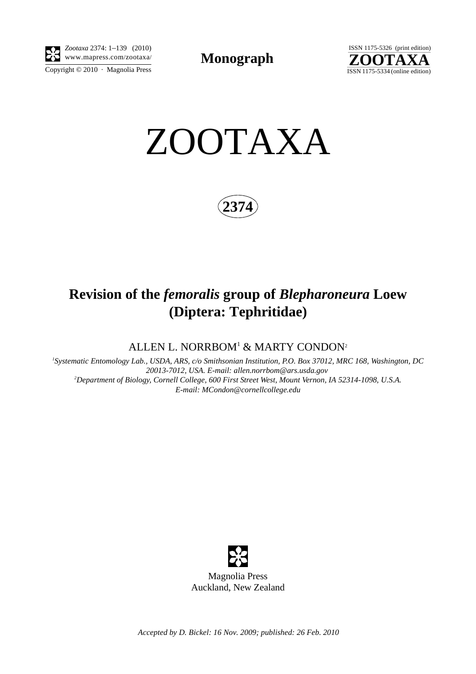

Copyright  $\odot$  2010 · Magnolia Press *Zootaxa* 2374: 1–139 (2010)

**Monograph** 



ZOOTAXA

**2374**

# **Revision of the** *femoralis* **group of** *Blepharoneura* **Loew (Diptera: Tephritidae)**

ALLEN L. NORRBOM<sup>1</sup> & MARTY CONDON<sup>2</sup>

*1 Systematic Entomology Lab., USDA, ARS, c/o Smithsonian Institution, P.O. Box 37012, MRC 168, Washington, DC <sup>20013</sup>*-*7012, USA. E-mail: allen.norrbom@ars.usda.gov 2 Department of Biology, Cornell College, 600 First Street West, Mount Vernon, IA 52314*-*1098, U.S.A. E-mail: MCondon@cornellcollege.edu*



*Accepted by D. Bickel: 16 Nov. 2009; published: 26 Feb. 2010*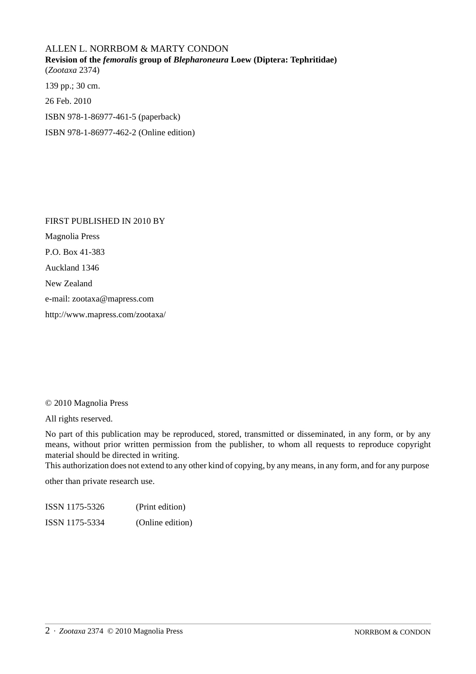## ALLEN L. NORRBOM & MARTY CONDON **Revision of the** *femoralis* **group of** *Blepharoneura* **Loew (Diptera: Tephritidae)** (*Zootaxa* 2374) 139 pp.; 30 cm.

26 Feb. 2010

ISBN 978-1-86977-461-5 (paperback)

ISBN 978-1-86977-462-2 (Online edition)

FIRST PUBLISHED IN 2010 BY Magnolia Press P.O. Box 41-383 Auckland 1346 New Zealand e-mail: zootaxa@mapress.com http://www.mapress.com/zootaxa/

#### © 2010 Magnolia Press

All rights reserved.

No part of this publication may be reproduced, stored, transmitted or disseminated, in any form, or by any means, without prior written permission from the publisher, to whom all requests to reproduce copyright material should be directed in writing.

This authorization does not extend to any other kind of copying, by any means, in any form, and for any purpose

other than private research use.

ISSN 1175-5326 (Print edition) ISSN 1175-5334 (Online edition)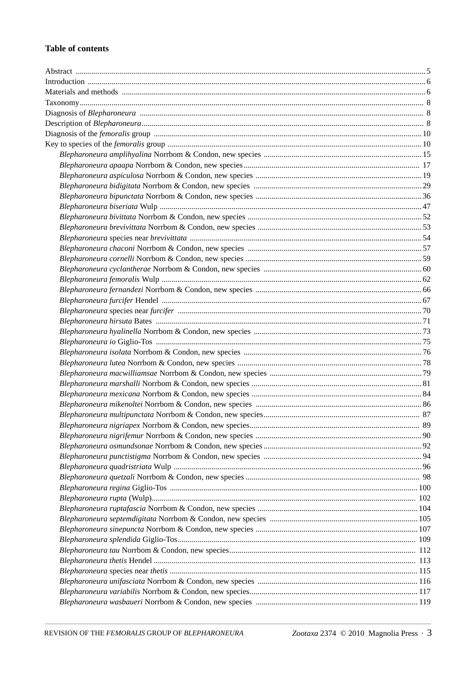### **Table of contents**